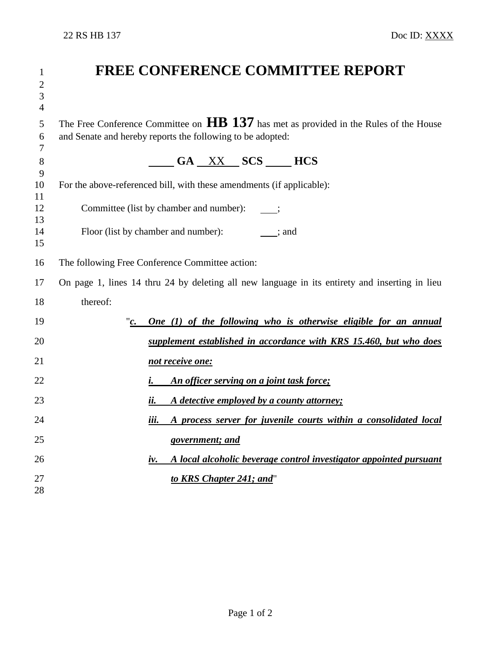| $\mathbf{1}$   | <b>FREE CONFERENCE COMMITTEE REPORT</b>                                                        |  |  |
|----------------|------------------------------------------------------------------------------------------------|--|--|
| $\overline{2}$ |                                                                                                |  |  |
| $\mathfrak{Z}$ |                                                                                                |  |  |
| $\overline{4}$ |                                                                                                |  |  |
| 5              | The Free Conference Committee on $\bf{HB}$ 137 has met as provided in the Rules of the House   |  |  |
| 6              | and Senate and hereby reports the following to be adopted:                                     |  |  |
| 7<br>8         |                                                                                                |  |  |
| 9              | $\frac{\text{GA}}{\text{XX}}$ SCS $\frac{\text{HCS}}{\text{A}}$                                |  |  |
| 10             | For the above-referenced bill, with these amendments (if applicable):                          |  |  |
| 11<br>12       | Committee (list by chamber and number):                                                        |  |  |
| 13             |                                                                                                |  |  |
| 14             | Floor (list by chamber and number): ; and                                                      |  |  |
| 15             |                                                                                                |  |  |
| 16             | The following Free Conference Committee action:                                                |  |  |
| 17             | On page 1, lines 14 thru 24 by deleting all new language in its entirety and inserting in lieu |  |  |
| 18             | thereof:                                                                                       |  |  |
| 19             | One (1) of the following who is otherwise eligible for an annual                               |  |  |
| 20             | supplement established in accordance with KRS 15.460, but who does                             |  |  |
| 21             | not receive one:                                                                               |  |  |
| 22             | An officer serving on a joint task force;<br><i>i</i> .                                        |  |  |
| 23             | ii.<br>A detective employed by a county attorney;                                              |  |  |
| 24             | A process server for juvenile courts within a consolidated local<br>iii.                       |  |  |
| 25             | government; and                                                                                |  |  |
| 26             | A local alcoholic beverage control investigator appointed pursuant<br>iv.                      |  |  |
| 27             | to KRS Chapter 241; and"                                                                       |  |  |
| 28             |                                                                                                |  |  |